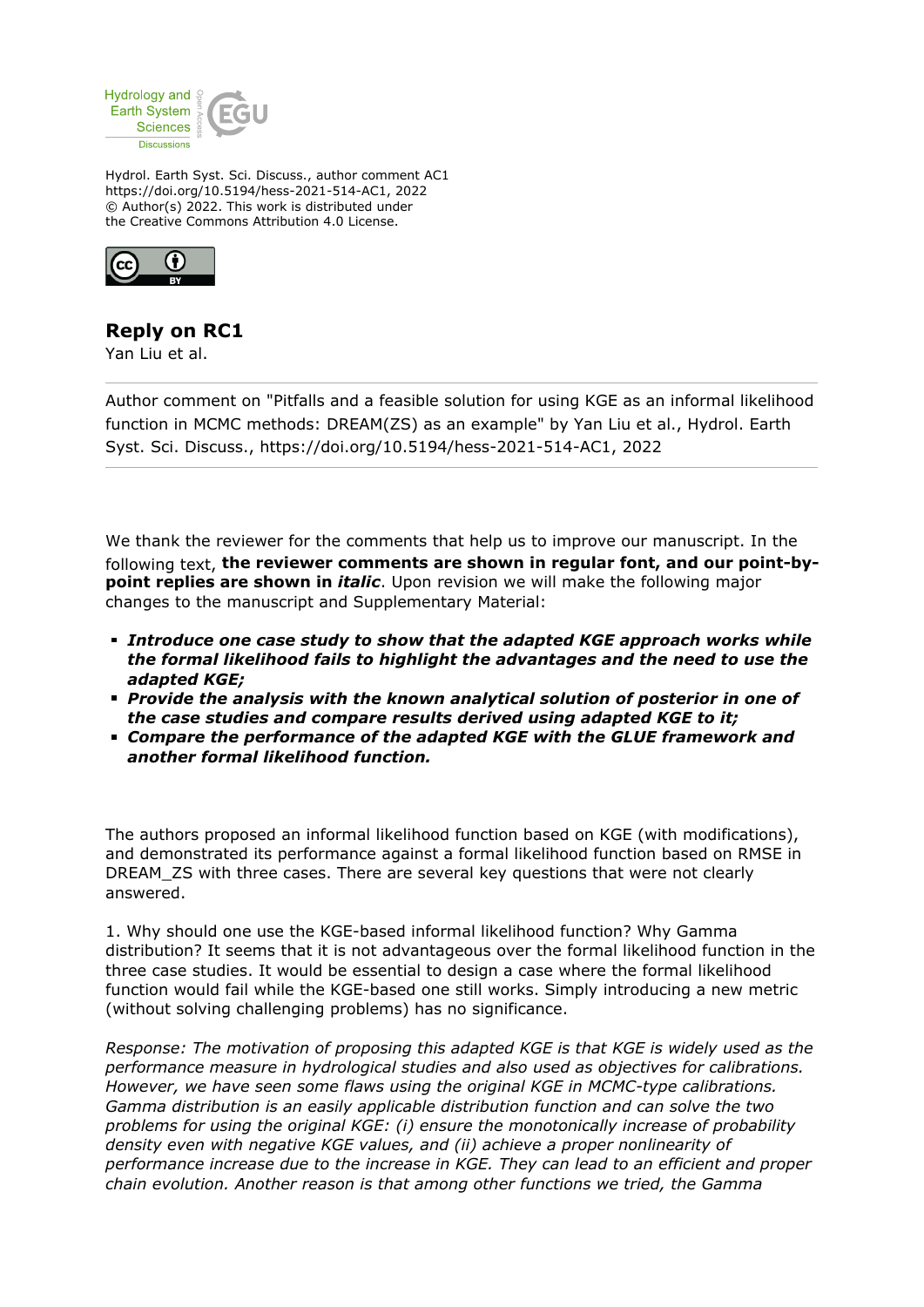

Hydrol. Earth Syst. Sci. Discuss., author comment AC1 https://doi.org/10.5194/hess-2021-514-AC1, 2022 © Author(s) 2022. This work is distributed under the Creative Commons Attribution 4.0 License.



## **Reply on RC1**

Yan Liu et al.

Author comment on "Pitfalls and a feasible solution for using KGE as an informal likelihood function in MCMC methods: DREAM(ZS) as an example" by Yan Liu et al., Hydrol. Earth Syst. Sci. Discuss., https://doi.org/10.5194/hess-2021-514-AC1, 2022

We thank the reviewer for the comments that help us to improve our manuscript. In the following text, **the reviewer comments are shown in regular font, and our point-bypoint replies are shown in** *italic*. Upon revision we will make the following major changes to the manuscript and Supplementary Material:

- *Introduce one case study to show that the adapted KGE approach works while the formal likelihood fails to highlight the advantages and the need to use the adapted KGE;*
- *Provide the analysis with the known analytical solution of posterior in one of the case studies and compare results derived using adapted KGE to it;*
- *Compare the performance of the adapted KGE with the GLUE framework and another formal likelihood function.*

The authors proposed an informal likelihood function based on KGE (with modifications), and demonstrated its performance against a formal likelihood function based on RMSE in DREAM\_ZS with three cases. There are several key questions that were not clearly answered.

1. Why should one use the KGE-based informal likelihood function? Why Gamma distribution? It seems that it is not advantageous over the formal likelihood function in the three case studies. It would be essential to design a case where the formal likelihood function would fail while the KGE-based one still works. Simply introducing a new metric (without solving challenging problems) has no significance.

*Response: The motivation of proposing this adapted KGE is that KGE is widely used as the performance measure in hydrological studies and also used as objectives for calibrations. However, we have seen some flaws using the original KGE in MCMC-type calibrations. Gamma distribution is an easily applicable distribution function and can solve the two problems for using the original KGE: (i) ensure the monotonically increase of probability density even with negative KGE values, and (ii) achieve a proper nonlinearity of performance increase due to the increase in KGE. They can lead to an efficient and proper chain evolution. Another reason is that among other functions we tried, the Gamma*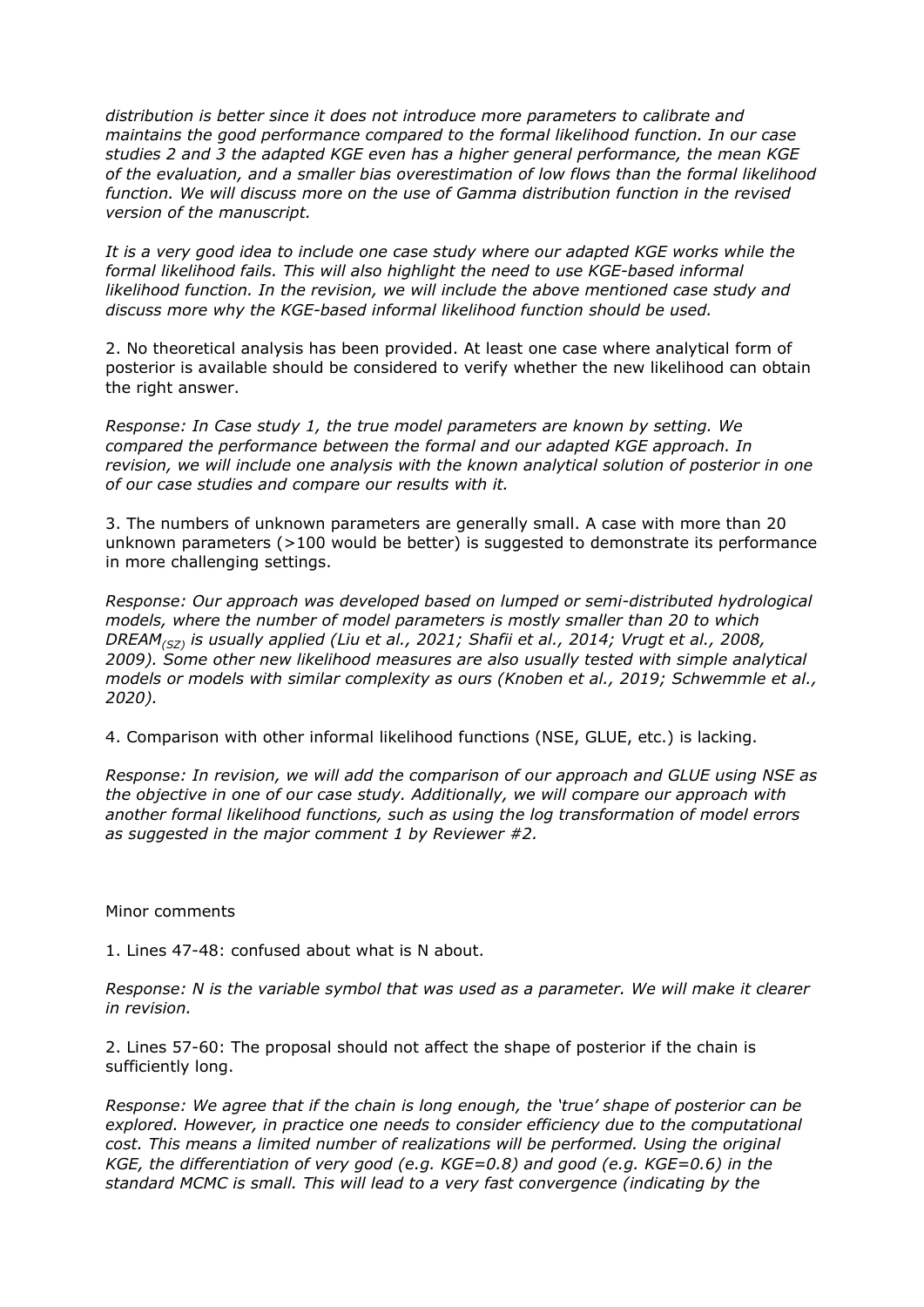*distribution is better since it does not introduce more parameters to calibrate and maintains the good performance compared to the formal likelihood function. In our case studies 2 and 3 the adapted KGE even has a higher general performance, the mean KGE of the evaluation, and a smaller bias overestimation of low flows than the formal likelihood function. We will discuss more on the use of Gamma distribution function in the revised version of the manuscript.*

*It is a very good idea to include one case study where our adapted KGE works while the formal likelihood fails. This will also highlight the need to use KGE-based informal likelihood function. In the revision, we will include the above mentioned case study and discuss more why the KGE-based informal likelihood function should be used.*

2. No theoretical analysis has been provided. At least one case where analytical form of posterior is available should be considered to verify whether the new likelihood can obtain the right answer.

*Response: In Case study 1, the true model parameters are known by setting. We compared the performance between the formal and our adapted KGE approach. In revision, we will include one analysis with the known analytical solution of posterior in one of our case studies and compare our results with it.*

3. The numbers of unknown parameters are generally small. A case with more than 20 unknown parameters (>100 would be better) is suggested to demonstrate its performance in more challenging settings.

*Response: Our approach was developed based on lumped or semi-distributed hydrological models, where the number of model parameters is mostly smaller than 20 to which DREAM(SZ) is usually applied (Liu et al., 2021; Shafii et al., 2014; Vrugt et al., 2008, 2009). Some other new likelihood measures are also usually tested with simple analytical models or models with similar complexity as ours (Knoben et al., 2019; Schwemmle et al., 2020).*

4. Comparison with other informal likelihood functions (NSE, GLUE, etc.) is lacking.

*Response: In revision, we will add the comparison of our approach and GLUE using NSE as the objective in one of our case study. Additionally, we will compare our approach with another formal likelihood functions, such as using the log transformation of model errors as suggested in the major comment 1 by Reviewer #2.*

## Minor comments

1. Lines 47-48: confused about what is N about.

*Response: N is the variable symbol that was used as a parameter. We will make it clearer in revision.*

2. Lines 57-60: The proposal should not affect the shape of posterior if the chain is sufficiently long.

*Response: We agree that if the chain is long enough, the 'true' shape of posterior can be explored. However, in practice one needs to consider efficiency due to the computational cost. This means a limited number of realizations will be performed. Using the original KGE, the differentiation of very good (e.g. KGE=0.8) and good (e.g. KGE=0.6) in the standard MCMC is small. This will lead to a very fast convergence (indicating by the*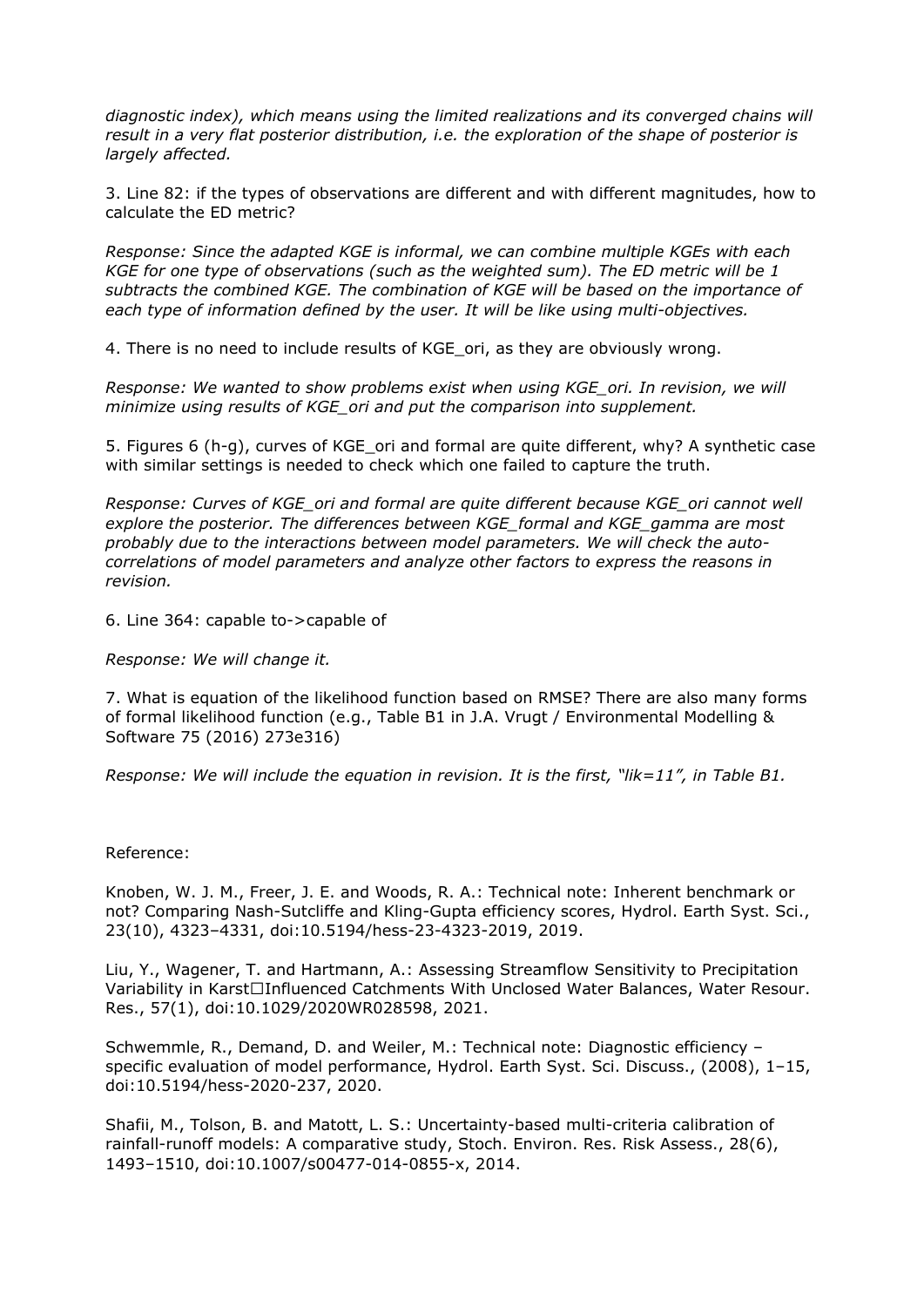*diagnostic index), which means using the limited realizations and its converged chains will result in a very flat posterior distribution, i.e. the exploration of the shape of posterior is largely affected.*

3. Line 82: if the types of observations are different and with different magnitudes, how to calculate the ED metric?

*Response: Since the adapted KGE is informal, we can combine multiple KGEs with each KGE for one type of observations (such as the weighted sum). The ED metric will be 1 subtracts the combined KGE. The combination of KGE will be based on the importance of each type of information defined by the user. It will be like using multi-objectives.*

4. There is no need to include results of KGE ori, as they are obviously wrong.

*Response: We wanted to show problems exist when using KGE\_ori. In revision, we will minimize using results of KGE\_ori and put the comparison into supplement.*

5. Figures 6 (h-g), curves of KGE\_ori and formal are quite different, why? A synthetic case with similar settings is needed to check which one failed to capture the truth.

*Response: Curves of KGE\_ori and formal are quite different because KGE\_ori cannot well explore the posterior. The differences between KGE\_formal and KGE\_gamma are most probably due to the interactions between model parameters. We will check the autocorrelations of model parameters and analyze other factors to express the reasons in revision.*

6. Line 364: capable to->capable of

*Response: We will change it.*

7. What is equation of the likelihood function based on RMSE? There are also many forms of formal likelihood function (e.g., Table B1 in J.A. Vrugt / Environmental Modelling & Software 75 (2016) 273e316)

*Response: We will include the equation in revision. It is the first, "lik=11", in Table B1.*

## Reference:

Knoben, W. J. M., Freer, J. E. and Woods, R. A.: Technical note: Inherent benchmark or not? Comparing Nash-Sutcliffe and Kling-Gupta efficiency scores, Hydrol. Earth Syst. Sci., 23(10), 4323–4331, doi:10.5194/hess-23-4323-2019, 2019.

Liu, Y., Wagener, T. and Hartmann, A.: Assessing Streamflow Sensitivity to Precipitation Variability in Karst□Influenced Catchments With Unclosed Water Balances, Water Resour. Res., 57(1), doi:10.1029/2020WR028598, 2021.

Schwemmle, R., Demand, D. and Weiler, M.: Technical note: Diagnostic efficiency – specific evaluation of model performance, Hydrol. Earth Syst. Sci. Discuss., (2008), 1–15, doi:10.5194/hess-2020-237, 2020.

Shafii, M., Tolson, B. and Matott, L. S.: Uncertainty-based multi-criteria calibration of rainfall-runoff models: A comparative study, Stoch. Environ. Res. Risk Assess., 28(6), 1493–1510, doi:10.1007/s00477-014-0855-x, 2014.